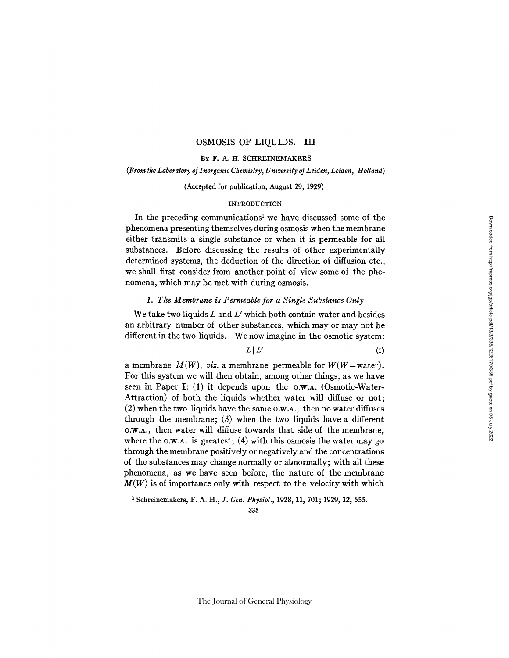# OSMOSIS OF LIQUIDS. III

## BY F. A. H. SCHREINEMAKERS

*(From the Laboratory of Inorganic Chemistry, University of Leiden, Leiden, Holland)* 

(Accepted for publication, August 29, 1929)

## INTRODUCTION

In the preceding communications<sup>1</sup> we have discussed some of the phenomena presenting themselves during osmosis when the membrane either transmits a single substance or when it is permeable for all substances. Before discussing the results of other experimentally determined systems, the deduction of the direction of diffusion etc., we shall first consider from another point of view some of the phenomena, which may be met with during osmosis.

### *1. The Membrane is Permeable for a Single Substance Only*

We take two liquids L and *L'* which both contain water and besides an arbitrary number of other substances, which may or may not be different in the two liquids. We now imagine in the osmotic system:

$$
L \mid L' \tag{1}
$$

a membrane  $M(W)$ , *viz.* a membrane permeable for  $W(W = water)$ . For this system we will then obtain, among other things, as we have seen in Paper I: (1) it depends upon the o.w.A. (Osmotic-Water-Attraction) of both the liquids whether water will diffuse or not;  $(2)$  when the two liquids have the same o.w.a., then no water diffuses through the membrane; (3) when the two liquids have a different O.W.A., then water will diffuse towards that side of the membrane, where the  $0.\text{W.A.}$  is greatest; (4) with this osmosis the water may go through the membrane positively or negatively and the concentrations of the substances may change normally or abnormally; with all these phenomena, as we have seen before, the nature of the membrane  $M(W)$  is of importance only with respect to the velocity with which

<sup>1</sup> Schreinemakers, F. A. H., *J. Gen. Physiol.*, 1928, 11, 701; 1929, 12, 555.

#### 335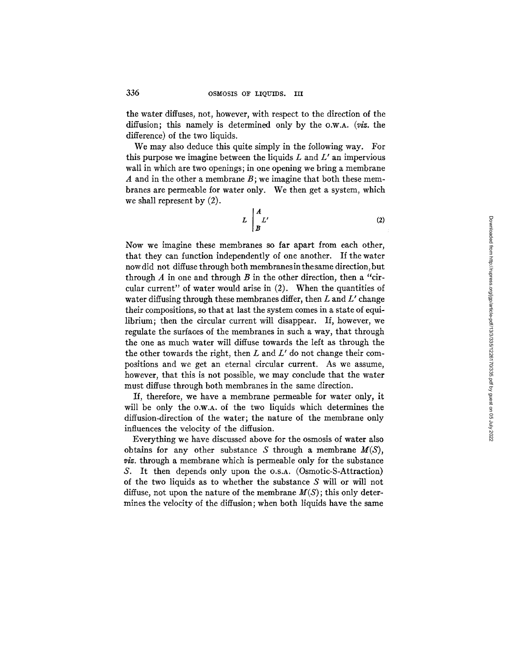the water diffuses, not, however, with respect to the direction of the diffusion; this namely is determined only by the o.w.A. *(viz.* the difference) of the two liquids.

We may also deduce this quite simply in the following way. For this purpose we imagine between the liquids  $L$  and  $L'$  an impervious wall in which are two openings; in one opening we bring a membrane A and in the other a membrane  $B$ ; we imagine that both these membranes are permeable for water only. We then get a system, which we shall represent by (2).

$$
L \begin{bmatrix} A \\ L' \end{bmatrix}
$$
 (2)

Now we imagine these membranes so far apart from each other, that they can function independently of one another. If the water now did not diffuse through both membranes in the same direction, but through  $A$  in one and through  $B$  in the other direction, then a "circular current" of water would arise in (2). When the quantities of water diffusing through these membranes differ, then  $L$  and  $L'$  change their compositions, so that at last the system comes in a state of equilibrium; then the circular current will disappear. If, however, we regulate the surfaces of the membranes in such a way, that through the one as much water will diffuse towards the left as through the the other towards the right, then  $L$  and  $L'$  do not change their compositions and we get an eternal circular current. As we assume, however, that this is not possible, we may conclude that the water must diffuse through both membranes in the same direction.

If, therefore, we have a membrane permeable for water only, it will be only the O.W.A. of the two liquids which determines the diffusion-direction of the water; the nature of the membrane only influences the velocity of the diffusion.

Everything we have discussed above for the osmosis of water also obtains for any other substance S through a membrane  $M(S)$ , *viz.* through a membrane which is permeable only for the substance S. It then depends only upon the o.s.A. (Osmotic-S-Attraction) of the two liquids as to whether the substance S will or will not diffuse, not upon the nature of the membrane  $M(S)$ ; this only determines the velocity of the diffusion; when both liquids have the same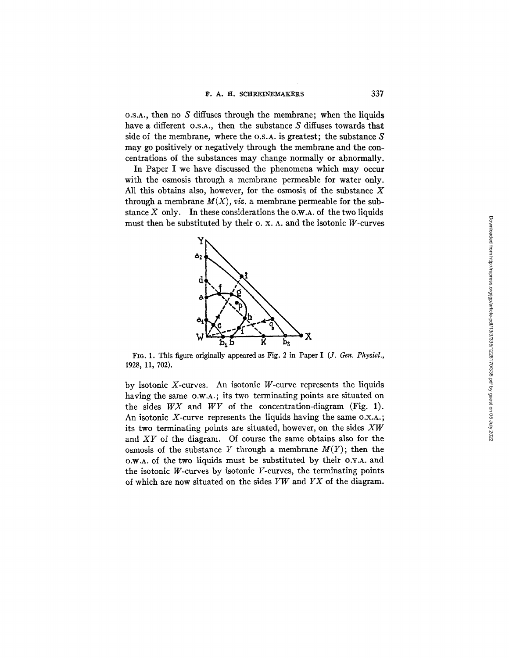O.S.A., then no S diffuses through the membrane; when the liquids have a different O.S.A., then the substance S diffuses towards that side of the membrane, where the O.S.A. is greatest; the substance S may go positively or negatively through the membrane and the concentrations of the substances may change normally or abnormally.

In Paper I we have discussed the phenomena which may occur with the osmosis through a membrane permeable for water only. All this obtains also, however, for the osmosis of the substance  $X$ through a membrane  $M(X)$ , *viz.* a membrane permeable for the substance  $X$  only. In these considerations the o.W.A. of the two liquids must then be substituted by their o. x. A. and the isotonic  $W$ -curves



FIG. 1. This figure originally appeared as Fig. 2 in Paper I (J. Gen. Physiol., 1928, ll, 702).

by isotonic  $X$ -curves. An isotonic  $W$ -curve represents the liquids having the same O.W.A.; its two terminating points are situated on the sides *WX* and *WY* of the concentration-diagram (Fig. 1). An isotonic X-curve represents the liquids having the same o.x.A.; its two terminating points are situated, however, on the sides *XW*  and *XY* of the diagram. Of course the same obtains also for the osmosis of the substance Y through a membrane  $M(Y)$ ; then the O.W.A. of the two liquids must be substituted by their O.Y.A. and the isotonic  $W$ -curves by isotonic  $Y$ -curves, the terminating points of which are now situated on the sides *YW* and *YX* of the diagram.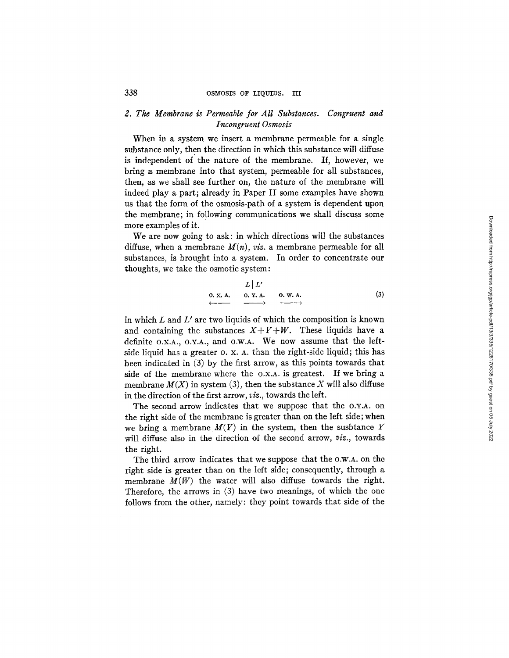# 338 OSMOSIS OF LIQUIDS. III

# *2. The Membrane is Permeable for All Substances. Congruent and Incongruent Osmosis*

When in a system we insert a membrane permeable for a single substance only, then the direction in which this substance will diffuse is independent of the nature of the membrane. If, however, we bring a membrane into that system, permeable for all substances, then, as we shall see further on, the nature of the membrane will indeed play a part; already in Paper II some examples have shown us that the form of the osmosis-path of a system is dependent upon the membrane; in following communications we shall discuss some more examples of it.

We are now going to ask: in which directions will the substances diffuse, when a membrane  $M(n)$ , *viz*. a membrane permeable for all substances, is brought into a system. In order to concentrate our thoughts, we take the osmotic system:

$$
L | L'
$$
  
0. x. A, 0. y. A, 0. w. A. (3)

in which  $L$  and  $L'$  are two liquids of which the composition is known and containing the substances  $X+Y+W$ . These liquids have a definite o.x.A., o.Y.a., and o.w.A. We now assume that the leftside liquid has a greater o. x. A. than the right-side liquid; this has been indicated in (3) by the first arrow, as this points towards that side of the membrane where the O.X.A. is greatest. If we bring a membrane  $M(X)$  in system (3), then the substance X will also diffuse in the direction of the first arrow, viz., towards the left.

The second arrow indicates that we suppose that the O.Y.A. on the right side of the membrane is greater than on the left side; when we bring a membrane  $M(Y)$  in the system, then the susbtance Y will diffuse also in the direction of the second arrow, *viz.,* towards the right.

The third arrow indicates that we suppose that the O.W.A. on the right side is greater than on the left side; consequently, through a membrane  $M(W)$  the water will also diffuse towards the right. Therefore, the arrows in (3) have two meanings, of which the one follows from the other, namely: they point towards that side of the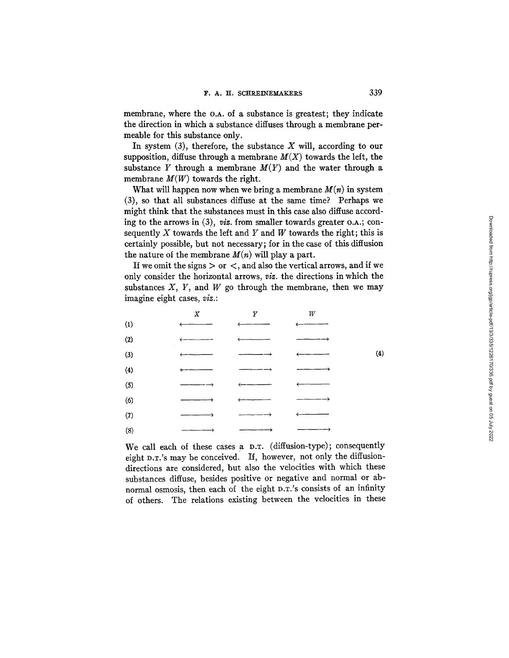membrane, where the O.A. of a substance is greatest; they indicate the direction in which a substance diffuses through a membrane permeable for this substance only.

In system  $(3)$ , therefore, the substance X will, according to our supposition, diffuse through a membrane  $M(X)$  towards the left, the substance Y through a membrane  $M(Y)$  and the water through a membrane  $M(W)$  towards the right.

What will happen now when we bring a membrane  $M(n)$  in system (3), so that all substances diffuse at the same time? Perhaps we might think that the substances must in this case also diffuse according to the arrows in (3), *viz.* from smaller towards greater o.A.; consequently  $X$  towards the left and  $Y$  and  $W$  towards the right; this is certainly possible, but not necessary; for in the case of this diffusion the nature of the membrane  $M(n)$  will play a part.

If we omit the signs  $>$  or  $<$ , and also the vertical arrows, and if we only consider the horizontal arrows, *viz.* the directions in which the substances  $X$ ,  $Y$ , and  $W$  go through the membrane, then we may imagine eight cases, *viz.:* 

|     | X     | $\boldsymbol{Y}$ | W |     |
|-----|-------|------------------|---|-----|
| (1) |       |                  |   |     |
| (2) |       |                  |   |     |
| (3) |       |                  |   | (4) |
| (4) |       | -------------    |   |     |
| (5) | ----- |                  |   |     |
| (6) |       |                  |   |     |
| (7) |       |                  |   |     |
| (8) | ->    |                  | → |     |

We call each of these cases a D.T. (diffusion-type); consequently eight D.T.'S may be conceived. If, however, not only the diffusiondirections are considered, but also the velocities with which these substances diffuse, besides positive or negative and normal or abnormal osmosis, then each of the eight D.T.'s consists of an infinity of others. The relations existing between the velocities in these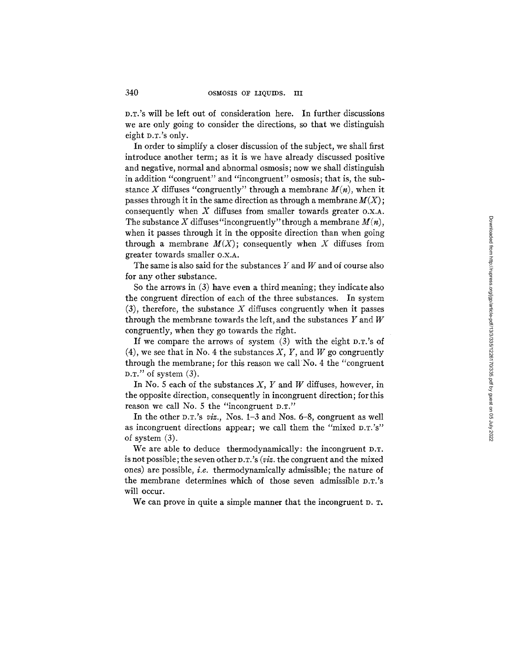D.T.'S will be left out of consideration here. In further discussions we are only going to consider the directions, so that we distinguish eight D.T:'s only.

In order to simplify a closer discussion of the subject, we shall first introduce another term; as it is we have already discussed positive and negative, normal and abnormal osmosis; now we shall distinguish in addition *"congruent"* and "incongruent" osmosis; that is, the substance X diffuses "congruently" through a membrane  $M(n)$ , when it passes through it in the same direction as through a membrane  $M(X)$ ; consequently when  $X$  diffuses from smaller towards greater  $O.X.A$ . The substance X diffuses "incongruently" through a membrane  $M(n)$ , when it passes through it in the opposite direction than when going through a membrane  $M(X)$ ; consequently when X diffuses from greater towards smaller O.X.A.

The same is also said for the substances  $Y$  and  $W$  and of course also for any other substance.

So the arrows in (3) have even a third meaning; they indicate also the congruent direction of each of the three substances, In system  $(3)$ , therefore, the substance X diffuses congruently when it passes through the membrane towards the left, and the substances  $Y$  and  $W$ congruently, when they go towards the right.

If we compare the arrows of system  $(3)$  with the eight D.T.'s of (4), we see that in No. 4 the substances  $X$ ,  $Y$ , and  $W$  go congruently through the membrane; for this reason we call No. 4 the "congruent  $D.T.''$  of system  $(3)$ .

In No. 5 each of the substances *X, Y* and W diffuses, however, in the opposite direction, consequently in incongruent direction; for this reason we call No. 5 the "incongruent D.T."

In the other D.T.'s *viz.*, Nos. 1–3 and Nos. 6–8, congruent as well as incongruent directions appear; we call them the "mixed D.T.'S" of system (3).

We are able to deduce thermodynamically: the incongruent D.T. is not possible; the seven other D.T.'S *(viz.* the congruent and the mixed ones) are possible, *i.e.* thermodynamically admissible; the nature of the membrane determines which of those seven admissible D.T.'s will occur.

We can prove in quite a simple manner that the incongruent  $D$ . T.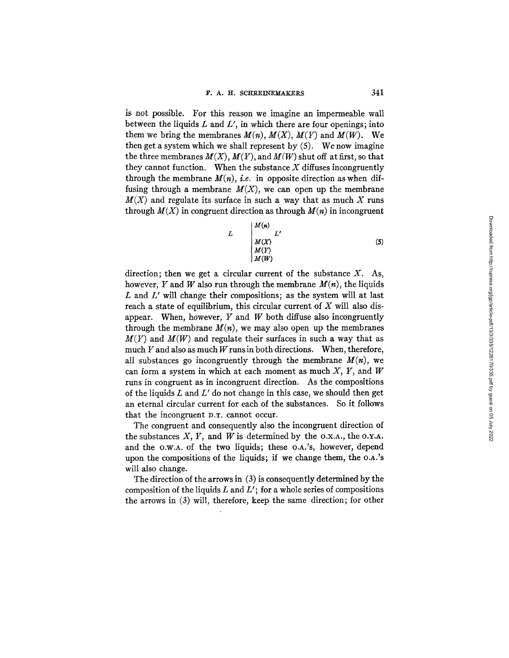is not possible. For this reason we imagine an impermeable wall between the liquids  $L$  and  $L'$ , in which there are four openings; into them we bring the membranes  $M(n)$ ,  $M(X)$ ,  $M(Y)$  and  $M(W)$ . We then get a system which we shall represent by (5). We now imagine the three membranes  $M(X)$ ,  $M(Y)$ , and  $M(W)$  shut off at first, so that they cannot function. When the substance  $X$  diffuses incongruently through the membrane  $M(n)$ , *i.e.* in opposite direction as when diffusing through a membrane  $M(X)$ , we can open up the membrane  $M(X)$  and regulate its surface in such a way that as much X runs through  $M(X)$  in congruent direction as through  $M(n)$  in incongruent

$$
L \qquad \begin{array}{c} M(n) \\ L' \\ M(X) \\ M(Y) \\ M(W) \end{array} \tag{5}
$$

direction; then we get a circular current of the substance  $X$ . As, however, Y and W also run through the membrane  $M(n)$ , the liquids  $L$  and  $L'$  will change their compositions; as the system will at last reach a state of equilibrium, this circular current of  $X$  will also disappear. When, however,  $Y$  and  $W$  both diffuse also incongruently through the membrane  $M(n)$ , we may also open up the membranes  $M(Y)$  and  $M(W)$  and regulate their surfaces in such a way that as much  $Y$  and also as much  $W$  runs in both directions. When, therefore, all substances go incongruently through the membrane  $M(n)$ , we can form a system in which at each moment as much *X, Y,* and W runs in congruent as in incongruent direction. As the compositions of the liquids  $L$  and  $L'$  do not change in this case, we should then get an eternal circular current for each of the substances. So it follows that the incongruent D.T. cannot occur.

The congruent and consequently also the incongruent direction of the substances  $X$ ,  $Y$ , and  $W$  is determined by the O.X.A., the O.Y.A. and the O.W.A. of the two liquids; these O.A.'S, however, depend upon the compositions of the liquids; if we change them, the o.A.'s will also change.

The direction of the arrows in (3) is consequently determined by the composition of the liquids  $L$  and  $L'$ ; for a whole series of compositions the arrows in (3) will, therefore, keep the same direction; for other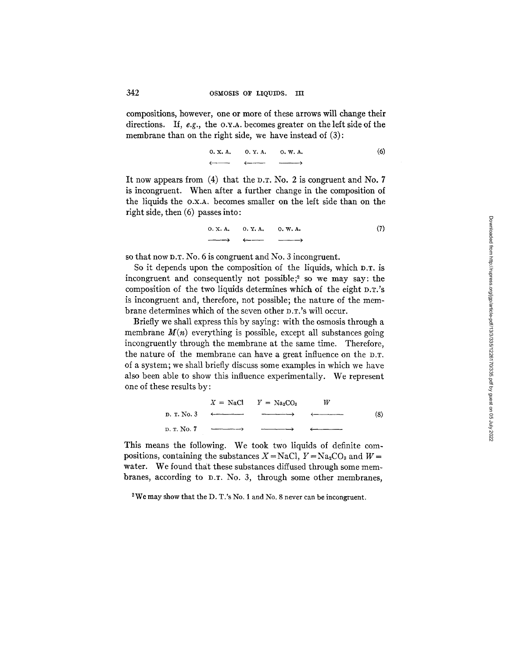compositions, however, one or more of these arrows will change their directions. If, *e.g.*, the O.Y.A. becomes greater on the left side of the membrane than on the right side, we have instead of (3):

$$
0. X. A. \qquad 0. Y. A. \qquad 0. W. A. \qquad (6)
$$

It now appears from (4) that the D.T. No. 2 is congruent and No. 7 is incongruent. When after a further change in the composition of the liquids the O.X.A. becomes smaller on the left side than on the right side, then (6) passes into:

$$
0. X. A. \quad 0. Y. A. \quad 0. W. A. \tag{7}
$$

so that now D.T. No. 6 is congruent and No. 3 incongruent.

So it depends upon the composition of the liquids, which D.T. is incongruent and consequently not possible;<sup>2</sup> so we may say: the composition of the two liquids determines which of the eight D.T.'s is incongruent and, therefore, not possible; the nature of the membrane determines which of the seven other D.T.'s will occur.

Briefly we shall express this by saying: with the osmosis through a membrane  $M(n)$  everything is possible, except all substances going incongruently through the membrane at the same time. Therefore, the nature of the membrane can have a great influence on the D.T. of a system; we shall briefly discuss some examples in which we have also been able to show this influence experimentally. We represent one of these results by:

$$
X = \text{NaCl} \qquad Y = \text{Na}_2\text{CO}_3 \qquad W
$$
\nD. T. No. 3

\n

This means the following. We took two liquids of definite compositions, containing the substances  $X = \text{NaCl}$ ,  $Y = \text{Na}_2\text{CO}_3$  and  $W =$ water. We found that these substances diffused through some membranes, according to D.T. No. 3, through some other membranes,

2We may show that the D. T.'s No. 1 and No. 8 never can be incongruent.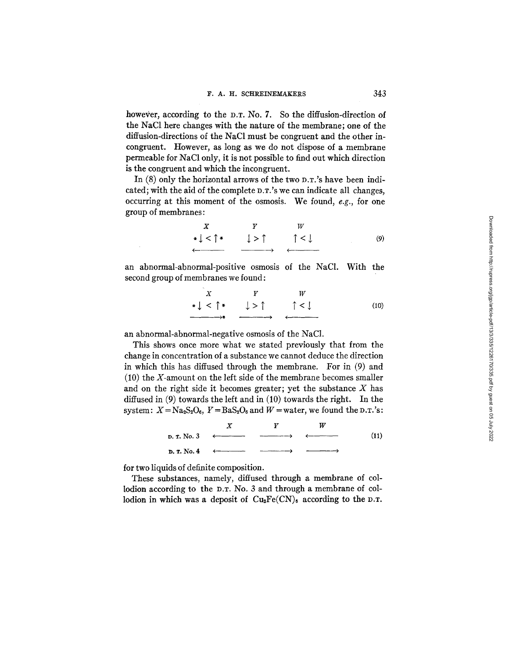however, according to the D.T. No. 7. So the diffusion-direction of the NaCI here changes with the nature of the membrane; one of the diffusion-directions of the NaC1 must be congruent and the other incongruent. However, as long as we do not dispose of a membrane permeable for NaC1 only, it is not possible to find out which direction is the congruent and which the incongruent.

In (8) only the horizontal arrows of the two D.T.'s have been indicated; with the aid of the complete D.T.'s we can indicate all changes, occurring at this moment of the osmosis. We found, *e.g.,* for one group of membranes:

X Y .L>T <----- '9. ,~---- W T < ,L (9)

an abnormal-abnormal-positive osmosis of the NaC1. With the second group of membranes we found:

$$
x \qquad Y \qquad W
$$
  
\n
$$
*\downarrow < \uparrow * \qquad \downarrow > \uparrow \qquad \uparrow < \downarrow \qquad (10)
$$

an abnormal-abnormal-negative osmosis of the NaC1.

This shows once more what we stated previously that from the change in concentration of a substance we cannot deduce the direction in which this has diffused through the membrane. For in (9) and (10) the X-amount on the left side of the membrane becomes smaller and on the right side it becomes greater; yet the substance  $X$  has diffused in (9) towards the left and in (10) towards the right. In the system:  $X = Na_2S_2O_6$ ,  $Y = BaS_2O_6$  and  $W = water$ , we found the D.T.'s:

X Y W **D. T. No. 3** +-- --~ ~---- **(11)**  D. T. No. 4 ( --~ --~

for two liquids of definite composition.

These substances, namely, diffused through a membrane of collodion according to the D.T. No. 3 and through a membrane of collodion in which was a deposit of  $Cu<sub>2</sub>Fe(CN)<sub>6</sub>$  according to the D.T.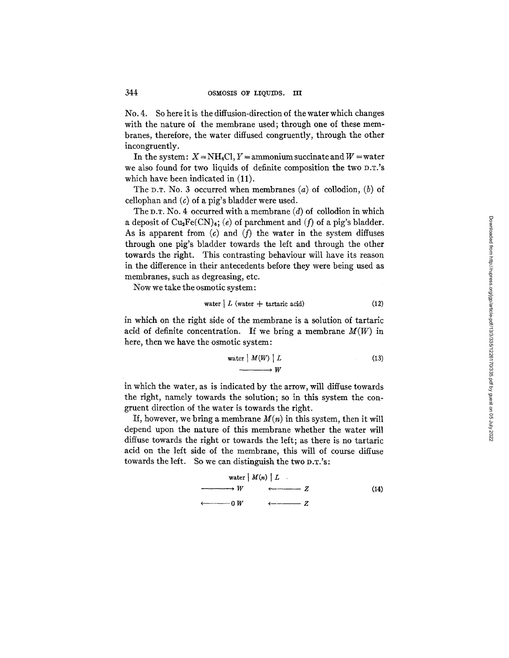No. 4. So here it is the diffusion-direction of the water which changes with the nature of the membrane used; through one of these membranes, therefore, the water diffused congruently, through the other incongruently.

In the system:  $X = NH_4Cl$ ,  $Y =$  ammonium succinate and  $W =$  water we also found for two liquids of definite composition the two D.T.'S which have been indicated in (11).

The D.T. No. 3 occurred when membranes (a) of collodion, (b) of cellophan and  $(c)$  of a pig's bladder were used.

The  $D.T.$  No. 4 occurred with a membrane  $(d)$  of collodion in which a deposit of  $Cu<sub>2</sub>Fe(CN)<sub>6</sub>$ ; (e) of parchment and (f) of a pig's bladder. As is apparent from  $(c)$  and  $(f)$  the water in the system diffuses through one pig's bladder towards the left and through the other towards the right. This contrasting behaviour will have its reason in the difference in their antecedents before they were being used as membranes, such as degreasing, etc.

Now we take the osmotic system:

$$
\text{water} \mid L \text{ (water + tartaric acid)} \tag{12}
$$

in which on the right side of the membrane is a solution of tartaric acid of definite concentration. If we bring a membrane  $M(W)$  in here, then we have the osmotic system:

$$
\begin{array}{c|c}\n\text{water} & M(W) & L \\
\hline\n\end{array} \tag{13}
$$

in which the water, as is indicated by thc arrow, will diffuse towards the right, namely towards the solution; so in this system the congruent direction of the water is towards the right.

If, however, we bring a membrane  $M(n)$  in this system, then it will depend upon the nature of this membrane whether the water will diffuse towards the right or towards the Icft; as there is no tartaric acid on the left side of the membrane, this will of course diffuse towards the left. So we can distinguish the two D.T.'S:

$$
\begin{array}{c}\n\text{water} \mid M(n) \mid L \\
\longrightarrow W \\
\longleftarrow \qquad \qquad \leftarrow \qquad \qquad Z \\
\longleftarrow \qquad \qquad \left(14\right)\n\end{array}
$$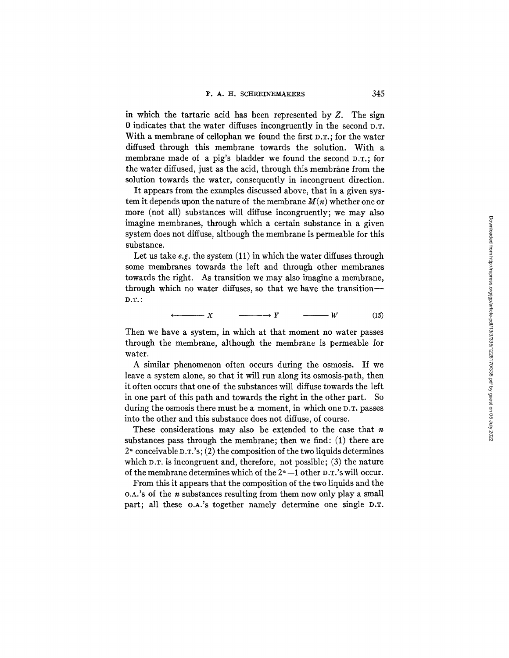in which the tartaric acid has been represented by Z. The sign 0 indicates that the water diffuses incongruently in the second D.T. With a membrane of cellophan we found the first D.T.; for the water diffused through this membrane towards the solution. With a membrane made of a pig's bladder we found the second D.T.; for the water diffused, just as the acid, through this membrane from the solution towards the water, consequently in incongruent direction.

It appears from the examples discussed above, that in a given system it depends upon the nature of the membrane *M(n)* whether one or more (not all) substances will diffuse incongruently; we may also imagine membranes, through which a certain substance in a given system does not diffuse, although the membrane is permeable for this substance.

Let us take *e.g.* the system (11) in which the water diffuses through some membranes towards the left and through other membranes towards the right. As transition we may also imagine a membrane, through which no water diffuses, so that we have the transition-- D.T.:

 $X \longrightarrow Y \longrightarrow W$  (15)

Then we have a system, in which at that moment no water passes through the membrane, although the membrane is permeable for water.

A similar phenomenon often occurs during the osmosis. If we leave a system alone, so that it will run along its osmosis-path, then it often occurs that one of the substances will diffuse towards the left in one part of this path and towards the right in the other part. So during the osmosis there must be a moment, in which one D.T. passes into the other and this substance does not diffuse, of course.

These considerations may also be extended to the case that  $n$ substances pass through the membrane; then we find: (1) there are  $2<sup>n</sup>$  conceivable D.T.'s; (2) the composition of the two liquids determines which D.T. is incongruent and, therefore, not possible; (3) the nature of the membrane determines which of the  $2<sup>n</sup> - 1$  other  $p.r.'s$  will occur.

From this it appears that the composition of the two liquids and the  $O.A.'s$  of the *n* substances resulting from them now only play a small part; all these O.A.'s together namely determine one single D.T.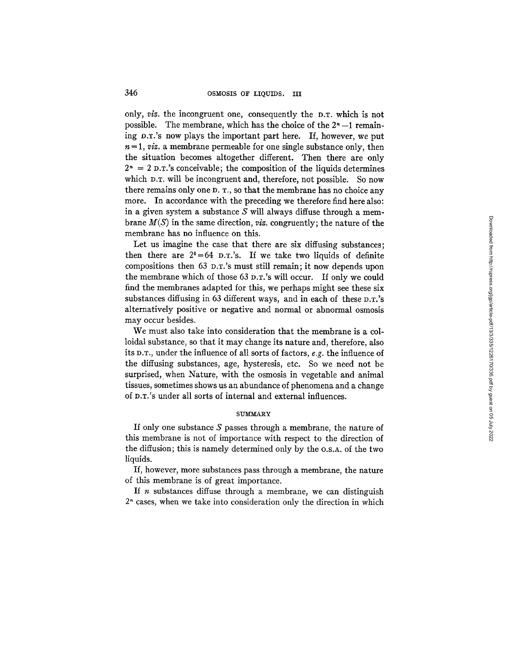only, *viz.* the incongruent one, consequently the D.T. which is not possible. The membrane, which has the choice of the  $2<sup>n</sup>-1$  remaining O.T.'S now plays the important part here. If, however, we put  $n=1$ , *viz.* a membrane permeable for one single substance only, then the situation becomes altogether different. Then there are only  $2<sup>n</sup> = 2$  D.T.'s conceivable; the composition of the liquids determines which D.T. will be incongruent and, therefore, not possible. So now there remains only one D. T., sO that the membrane has no choice any more. In accordance with the preceding we therefore find here also: in a given system a substance  $S$  will always diffuse through a membrane *M(S)* in the same direction, *viz.* congruently; the nature of the membrane has no influence on this.

Let us imagine the case that there are six diffusing substances; then there are  $2^6 = 64$  D.T.'s. If we take two liquids of definite compositions then 63 D.T.'S must still remain; it now depends upon the membrane which of those 63 D.T.'S will occur. If only we could find the membranes adapted for this, we perhaps might see these six substances diffusing in 63 different ways, and in each of these D.T.'s alternatively positive or negative and normal or abnormal osmosis may occur besides.

We must also take into consideration that the membrane is a colloidal substance, so that it may change its nature and, therefore, also its D.T., under the influence of all sorts of factors, *e.g.* the influence of the diffusing substances, age, hysteresis, etc. So we need not be surprised, when Nature, with the osmosis in vegetable and animal tissues, sometimes shows us an abundance of phenomena and a change of D.T.'S under all sorts of internal and external influences.

## SUMMARY

If only one substance S passes through a membrane, the nature of this membrane is not of importance with respect to the direction of the diffusion; this is namely determined only by the O.S.A. of the two liquids.

If, however, more substances pass through a membrane, the nature of this membrane is of great importance.

If  $n$  substances diffuse through a membrane, we can distinguish  $2<sup>n</sup>$  cases, when we take into consideration only the direction in which